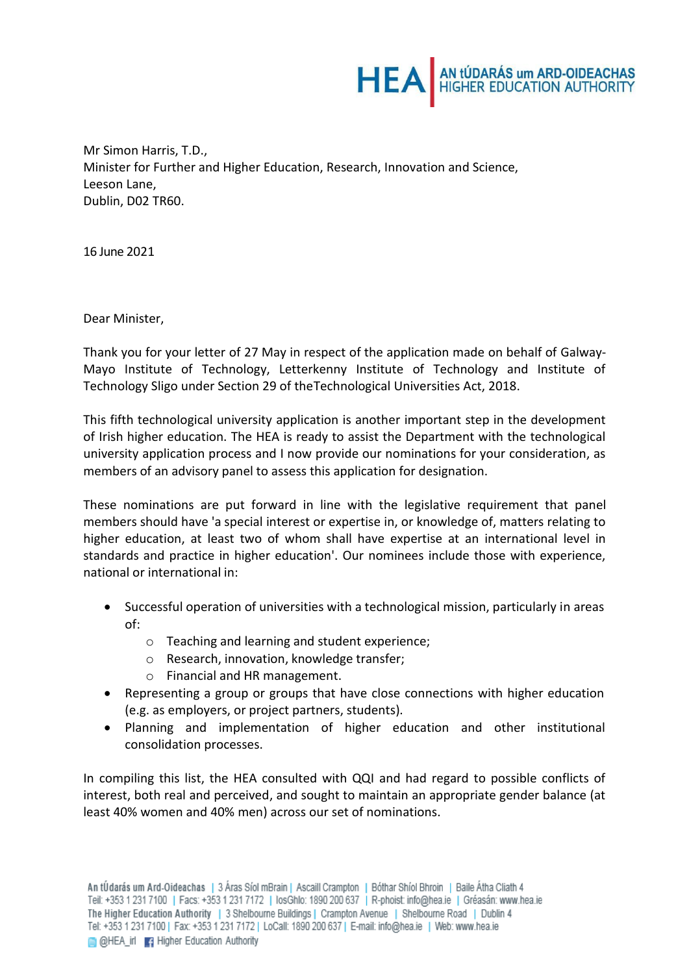

Mr Simon Harris, T.D., Minister for Further and Higher Education, Research, Innovation and Science, Leeson Lane, Dublin, D02 TR60.

16 June 2021

Dear Minister,

Thank you for your letter of 27 May in respect of the application made on behalf of Galway-Mayo Institute of Technology, Letterkenny Institute of Technology and Institute of Technology Sligo under Section 29 of theTechnological Universities Act, 2018.

This fifth technological university application is another important step in the development of Irish higher education. The HEA is ready to assist the Department with the technological university application process and I now provide our nominations for your consideration, as members of an advisory panel to assess this application for designation.

These nominations are put forward in line with the legislative requirement that panel members should have 'a special interest or expertise in, or knowledge of, matters relating to higher education, at least two of whom shall have expertise at an international level in standards and practice in higher education'. Our nominees include those with experience, national or international in:

- Successful operation of universities with a technological mission, particularly in areas of:
	- o Teaching and learning and student experience;
	- o Research, innovation, knowledge transfer;
	- o Financial and HR management.
- Representing a group or groups that have close connections with higher education (e.g. as employers, or project partners, students).
- Planning and implementation of higher education and other institutional consolidation processes.

In compiling this list, the HEA consulted with QQI and had regard to possible conflicts of interest, both real and perceived, and sought to maintain an appropriate gender balance (at least 40% women and 40% men) across our set of nominations.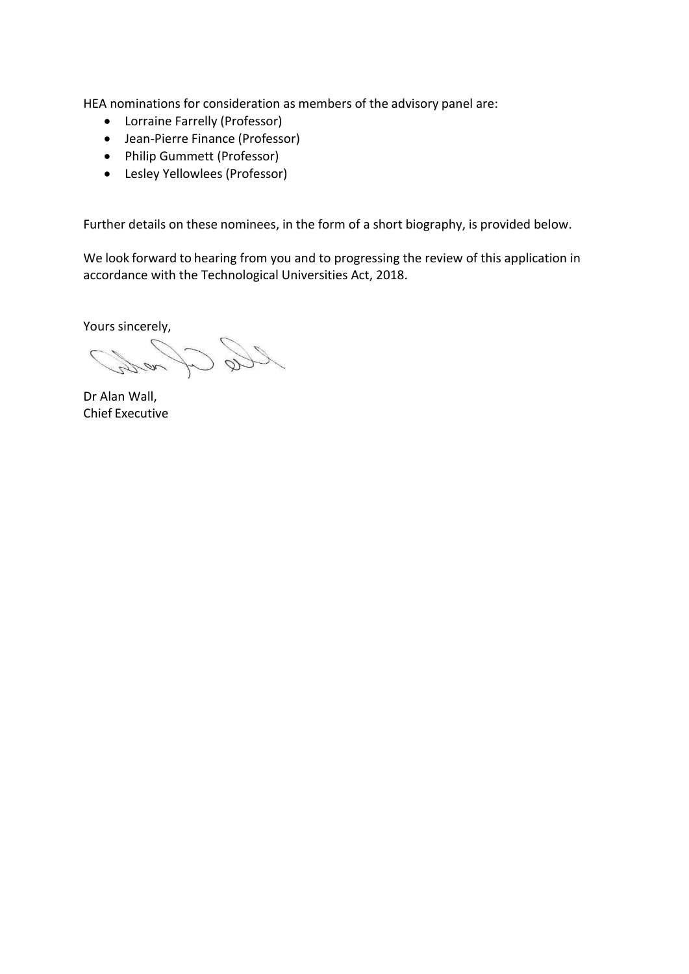HEA nominations for consideration as members of the advisory panel are:

- Lorraine Farrelly (Professor)
- Jean-Pierre Finance (Professor)
- Philip Gummett (Professor)
- Lesley Yellowlees (Professor)

Further details on these nominees, in the form of a short biography, is provided below.

We look forward to hearing from you and to progressing the review of this application in accordance with the Technological Universities Act, 2018.

Yours sincerely, Ć,

Dr Alan Wall, Chief Executive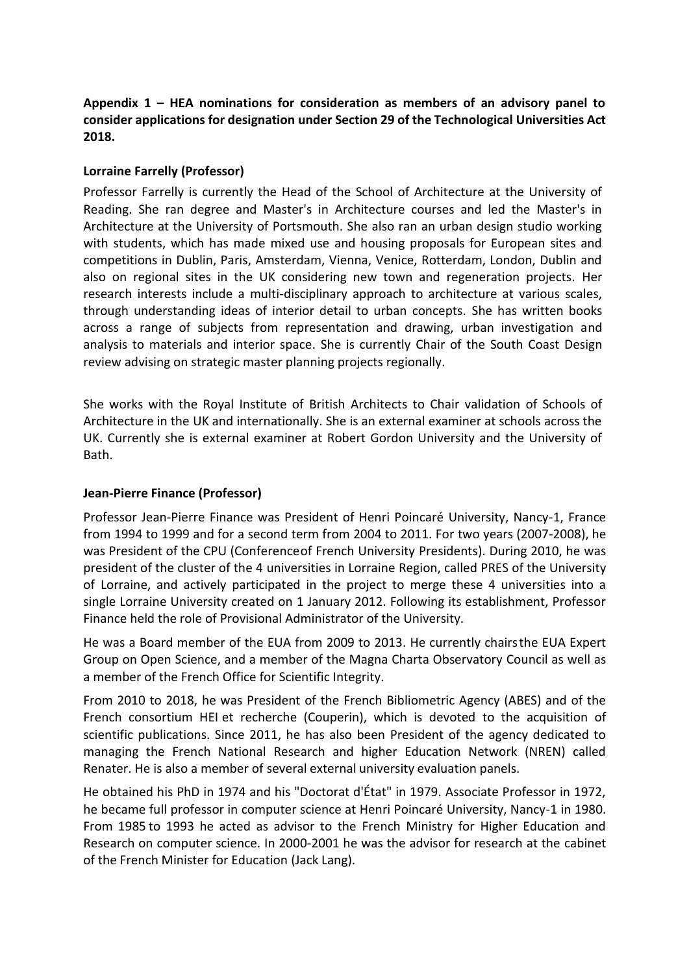# **Appendix 1 – HEA nominations for consideration as members of an advisory panel to consider applications for designation under Section 29 of the Technological Universities Act 2018.**

# **Lorraine Farrelly (Professor)**

Professor Farrelly is currently the Head of the School of Architecture at the University of Reading. She ran degree and Master's in Architecture courses and led the Master's in Architecture at the University of Portsmouth. She also ran an urban design studio working with students, which has made mixed use and housing proposals for European sites and competitions in Dublin, Paris, Amsterdam, Vienna, Venice, Rotterdam, London, Dublin and also on regional sites in the UK considering new town and regeneration projects. Her research interests include a multi-disciplinary approach to architecture at various scales, through understanding ideas of interior detail to urban concepts. She has written books across a range of subjects from representation and drawing, urban investigation and analysis to materials and interior space. She is currently Chair of the South Coast Design review advising on strategic master planning projects regionally.

She works with the Royal Institute of British Architects to Chair validation of Schools of Architecture in the UK and internationally. She is an external examiner at schools across the UK. Currently she is external examiner at Robert Gordon University and the University of Bath.

### **Jean-Pierre Finance (Professor)**

Professor Jean-Pierre Finance was President of Henri Poincaré University, Nancy-1, France from 1994 to 1999 and for a second term from 2004 to 2011. For two years (2007-2008), he was President of the CPU (Conferenceof French University Presidents). During 2010, he was president of the cluster of the 4 universities in Lorraine Region, called PRES of the University of Lorraine, and actively participated in the project to merge these 4 universities into a single Lorraine University created on 1 January 2012. Following its establishment, Professor Finance held the role of Provisional Administrator of the University.

He was a Board member of the EUA from 2009 to 2013. He currently chairsthe EUA Expert Group on Open Science, and a member of the Magna Charta Observatory Council as well as a member of the French Office for Scientific Integrity.

From 2010 to 2018, he was President of the French Bibliometric Agency (ABES) and of the French consortium HEI et recherche (Couperin), which is devoted to the acquisition of scientific publications. Since 2011, he has also been President of the agency dedicated to managing the French National Research and higher Education Network (NREN) called Renater. He is also a member of several external university evaluation panels.

He obtained his PhD in 1974 and his "Doctorat d'État" in 1979. Associate Professor in 1972, he became full professor in computer science at Henri Poincaré University, Nancy-1 in 1980. From 1985 to 1993 he acted as advisor to the French Ministry for Higher Education and Research on computer science. In 2000-2001 he was the advisor for research at the cabinet of the French Minister for Education (Jack Lang).